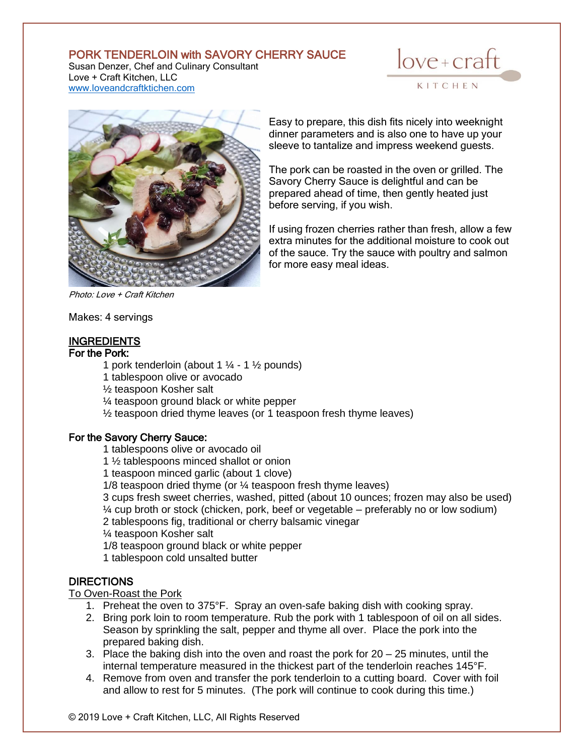# PORK TENDERLOIN with SAVORY CHERRY SAUCE

Susan Denzer, Chef and Culinary Consultant Love + Craft Kitchen, LLC [www.loveandcraftktichen.com](http://www.loveandcraftktichen.com/)





Easy to prepare, this dish fits nicely into weeknight dinner parameters and is also one to have up your sleeve to tantalize and impress weekend guests.

The pork can be roasted in the oven or grilled. The Savory Cherry Sauce is delightful and can be prepared ahead of time, then gently heated just before serving, if you wish.

If using frozen cherries rather than fresh, allow a few extra minutes for the additional moisture to cook out of the sauce. Try the sauce with poultry and salmon for more easy meal ideas.

Makes: 4 servings

### **INGREDIENTS**

#### For the Pork:

1 pork tenderloin (about 1  $\frac{1}{4}$  - 1  $\frac{1}{2}$  pounds)

1 tablespoon olive or avocado

½ teaspoon Kosher salt

¼ teaspoon ground black or white pepper

½ teaspoon dried thyme leaves (or 1 teaspoon fresh thyme leaves)

#### For the Savory Cherry Sauce:

1 tablespoons olive or avocado oil

1 ½ tablespoons minced shallot or onion

1 teaspoon minced garlic (about 1 clove)

1/8 teaspoon dried thyme (or ¼ teaspoon fresh thyme leaves)

3 cups fresh sweet cherries, washed, pitted (about 10 ounces; frozen may also be used) ¼ cup broth or stock (chicken, pork, beef or vegetable – preferably no or low sodium)

2 tablespoons fig, traditional or cherry balsamic vinegar

¼ teaspoon Kosher salt

1/8 teaspoon ground black or white pepper

1 tablespoon cold unsalted butter

### DIRECTIONS

#### To Oven-Roast the Pork

- 1. Preheat the oven to 375°F. Spray an oven-safe baking dish with cooking spray.
- 2. Bring pork loin to room temperature. Rub the pork with 1 tablespoon of oil on all sides. Season by sprinkling the salt, pepper and thyme all over. Place the pork into the prepared baking dish.
- 3. Place the baking dish into the oven and roast the pork for 20 25 minutes, until the internal temperature measured in the thickest part of the tenderloin reaches 145°F.
- 4. Remove from oven and transfer the pork tenderloin to a cutting board. Cover with foil and allow to rest for 5 minutes. (The pork will continue to cook during this time.)